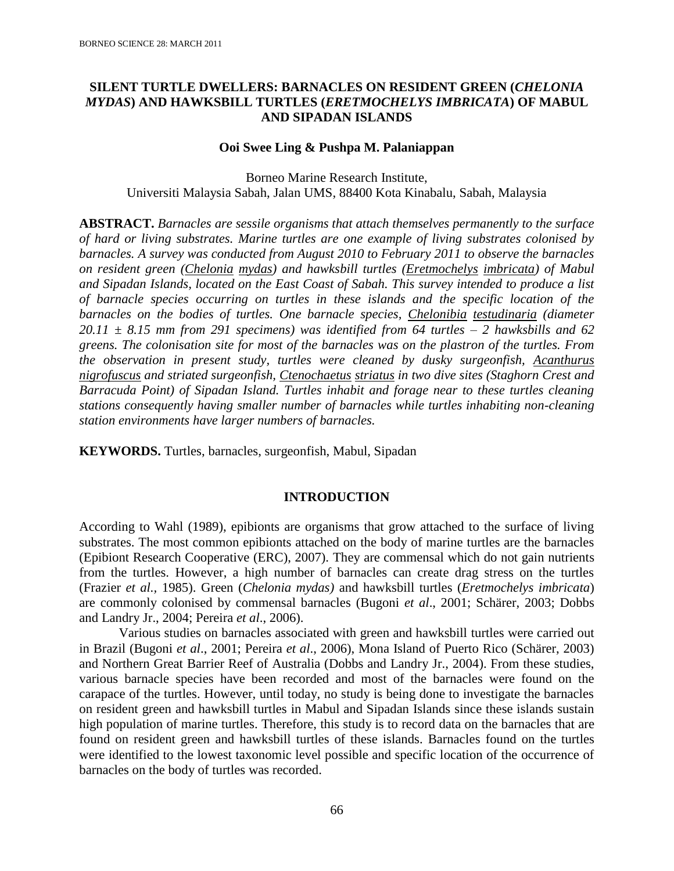# **SILENT TURTLE DWELLERS: BARNACLES ON RESIDENT GREEN (***CHELONIA MYDAS***) AND HAWKSBILL TURTLES (***ERETMOCHELYS IMBRICATA***) OF MABUL AND SIPADAN ISLANDS**

#### **Ooi Swee Ling & Pushpa M. Palaniappan**

Borneo Marine Research Institute, Universiti Malaysia Sabah, Jalan UMS, 88400 Kota Kinabalu, Sabah, Malaysia

**ABSTRACT.** *Barnacles are sessile organisms that attach themselves permanently to the surface of hard or living substrates. Marine turtles are one example of living substrates colonised by barnacles. A survey was conducted from August 2010 to February 2011 to observe the barnacles on resident green (Chelonia mydas) and hawksbill turtles (Eretmochelys imbricata) of Mabul and Sipadan Islands, located on the East Coast of Sabah. This survey intended to produce a list of barnacle species occurring on turtles in these islands and the specific location of the barnacles on the bodies of turtles. One barnacle species, Chelonibia testudinaria (diameter 20.11 ± 8.15 mm from 291 specimens) was identified from 64 turtles – 2 hawksbills and 62 greens. The colonisation site for most of the barnacles was on the plastron of the turtles. From the observation in present study, turtles were cleaned by dusky surgeonfish, Acanthurus nigrofuscus and striated surgeonfish, Ctenochaetus striatus in two dive sites (Staghorn Crest and Barracuda Point) of Sipadan Island. Turtles inhabit and forage near to these turtles cleaning stations consequently having smaller number of barnacles while turtles inhabiting non-cleaning station environments have larger numbers of barnacles.*

**KEYWORDS.** Turtles, barnacles, surgeonfish, Mabul, Sipadan

## **INTRODUCTION**

According to Wahl (1989), epibionts are organisms that grow attached to the surface of living substrates. The most common epibionts attached on the body of marine turtles are the barnacles (Epibiont Research Cooperative (ERC), 2007). They are commensal which do not gain nutrients from the turtles. However, a high number of barnacles can create drag stress on the turtles (Frazier *et al.,* 1985). Green (*Chelonia mydas)* and hawksbill turtles (*Eretmochelys imbricata*) are commonly colonised by commensal barnacles (Bugoni *et al*., 2001; Schärer, 2003; Dobbs and Landry Jr., 2004; Pereira *et al*., 2006).

Various studies on barnacles associated with green and hawksbill turtles were carried out in Brazil (Bugoni *et al*., 2001; Pereira *et al*., 2006), Mona Island of Puerto Rico (Schärer, 2003) and Northern Great Barrier Reef of Australia (Dobbs and Landry Jr., 2004). From these studies, various barnacle species have been recorded and most of the barnacles were found on the carapace of the turtles. However, until today, no study is being done to investigate the barnacles on resident green and hawksbill turtles in Mabul and Sipadan Islands since these islands sustain high population of marine turtles. Therefore, this study is to record data on the barnacles that are found on resident green and hawksbill turtles of these islands. Barnacles found on the turtles were identified to the lowest taxonomic level possible and specific location of the occurrence of barnacles on the body of turtles was recorded.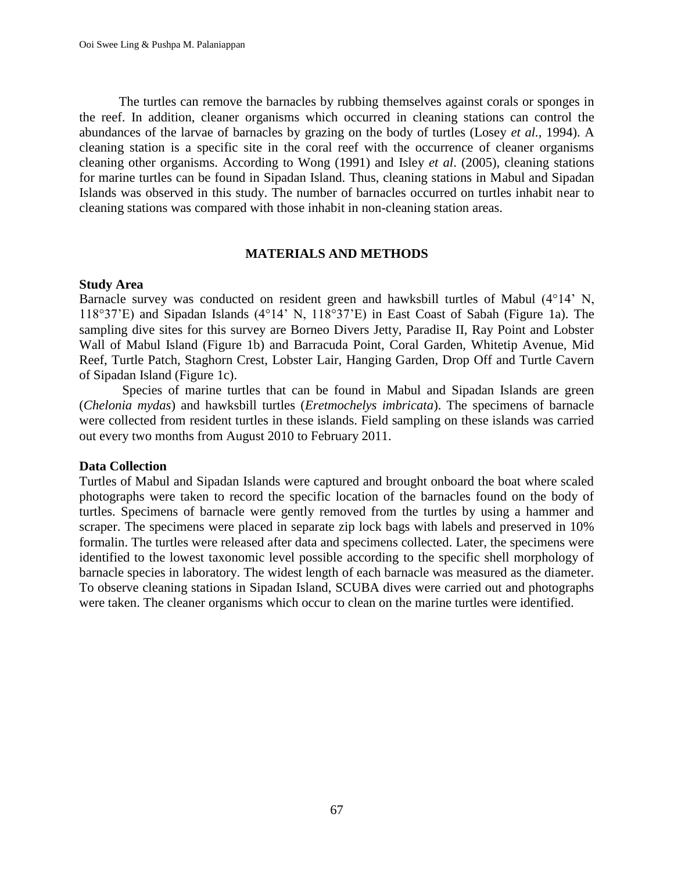The turtles can remove the barnacles by rubbing themselves against corals or sponges in the reef. In addition, cleaner organisms which occurred in cleaning stations can control the abundances of the larvae of barnacles by grazing on the body of turtles (Losey *et al.,* 1994). A cleaning station is a specific site in the coral reef with the occurrence of cleaner organisms cleaning other organisms. According to Wong (1991) and Isley *et al*. (2005), cleaning stations for marine turtles can be found in Sipadan Island. Thus, cleaning stations in Mabul and Sipadan Islands was observed in this study. The number of barnacles occurred on turtles inhabit near to cleaning stations was compared with those inhabit in non-cleaning station areas.

### **MATERIALS AND METHODS**

#### **Study Area**

Barnacle survey was conducted on resident green and hawksbill turtles of Mabul (4°14' N, 118°37'E) and Sipadan Islands (4°14' N, 118°37'E) in East Coast of Sabah (Figure 1a). The sampling dive sites for this survey are Borneo Divers Jetty, Paradise II, Ray Point and Lobster Wall of Mabul Island (Figure 1b) and Barracuda Point, Coral Garden, Whitetip Avenue, Mid Reef, Turtle Patch, Staghorn Crest, Lobster Lair, Hanging Garden, Drop Off and Turtle Cavern of Sipadan Island (Figure 1c).

Species of marine turtles that can be found in Mabul and Sipadan Islands are green (*Chelonia mydas*) and hawksbill turtles (*Eretmochelys imbricata*). The specimens of barnacle were collected from resident turtles in these islands. Field sampling on these islands was carried out every two months from August 2010 to February 2011.

#### **Data Collection**

Turtles of Mabul and Sipadan Islands were captured and brought onboard the boat where scaled photographs were taken to record the specific location of the barnacles found on the body of turtles. Specimens of barnacle were gently removed from the turtles by using a hammer and scraper. The specimens were placed in separate zip lock bags with labels and preserved in 10% formalin. The turtles were released after data and specimens collected. Later, the specimens were identified to the lowest taxonomic level possible according to the specific shell morphology of barnacle species in laboratory. The widest length of each barnacle was measured as the diameter. To observe cleaning stations in Sipadan Island, SCUBA dives were carried out and photographs were taken. The cleaner organisms which occur to clean on the marine turtles were identified.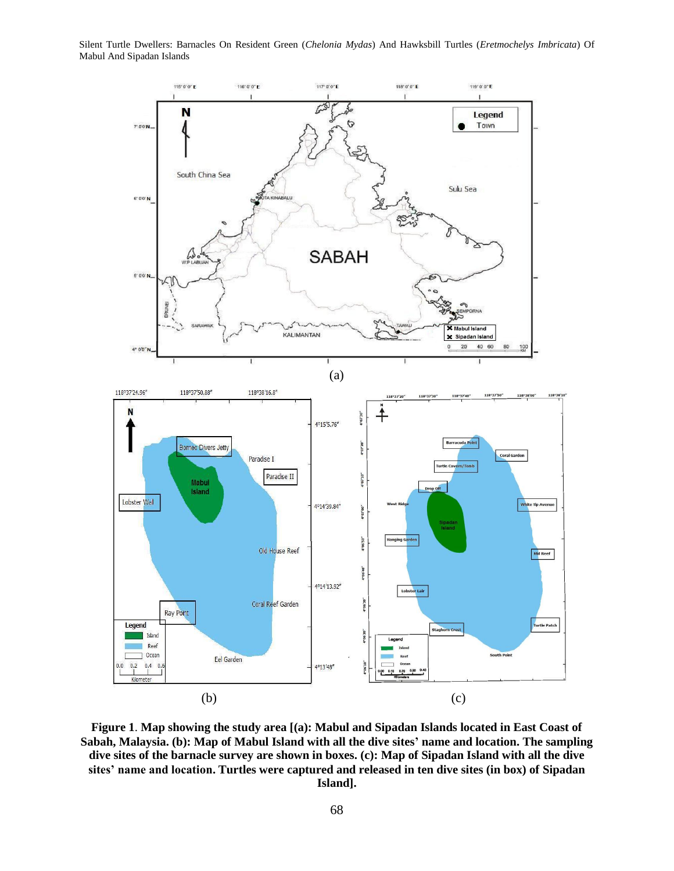Silent Turtle Dwellers: Barnacles On Resident Green (*Chelonia Mydas*) And Hawksbill Turtles (*Eretmochelys Imbricata*) Of Mabul And Sipadan Islands



**Figure 1**. **Map showing the study area [(a): Mabul and Sipadan Islands located in East Coast of Sabah, Malaysia. (b): Map of Mabul Island with all the dive sites' name and location. The sampling dive sites of the barnacle survey are shown in boxes. (c): Map of Sipadan Island with all the dive sites' name and location. Turtles were captured and released in ten dive sites (in box) of Sipadan Island].**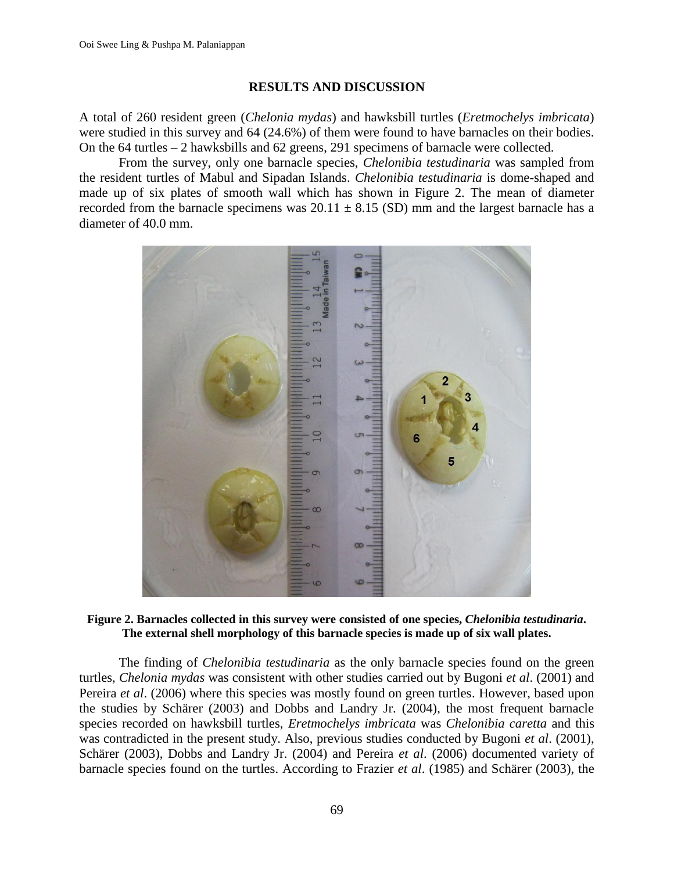#### **RESULTS AND DISCUSSION**

A total of 260 resident green (*Chelonia mydas*) and hawksbill turtles (*Eretmochelys imbricata*) were studied in this survey and 64 (24.6%) of them were found to have barnacles on their bodies. On the 64 turtles – 2 hawksbills and 62 greens, 291 specimens of barnacle were collected.

From the survey, only one barnacle species, *Chelonibia testudinaria* was sampled from the resident turtles of Mabul and Sipadan Islands. *Chelonibia testudinaria* is dome-shaped and made up of six plates of smooth wall which has shown in Figure 2. The mean of diameter recorded from the barnacle specimens was  $20.11 \pm 8.15$  (SD) mm and the largest barnacle has a diameter of 40.0 mm.



#### **Figure 2. Barnacles collected in this survey were consisted of one species,** *Chelonibia testudinaria***. The external shell morphology of this barnacle species is made up of six wall plates.**

The finding of *Chelonibia testudinaria* as the only barnacle species found on the green turtles, *Chelonia mydas* was consistent with other studies carried out by Bugoni *et al*. (2001) and Pereira *et al*. (2006) where this species was mostly found on green turtles. However, based upon the studies by Schärer (2003) and Dobbs and Landry Jr. (2004), the most frequent barnacle species recorded on hawksbill turtles, *Eretmochelys imbricata* was *Chelonibia caretta* and this was contradicted in the present study. Also, previous studies conducted by Bugoni *et al*. (2001), Schärer (2003), Dobbs and Landry Jr. (2004) and Pereira *et al*. (2006) documented variety of barnacle species found on the turtles. According to Frazier *et al*. (1985) and Schärer (2003), the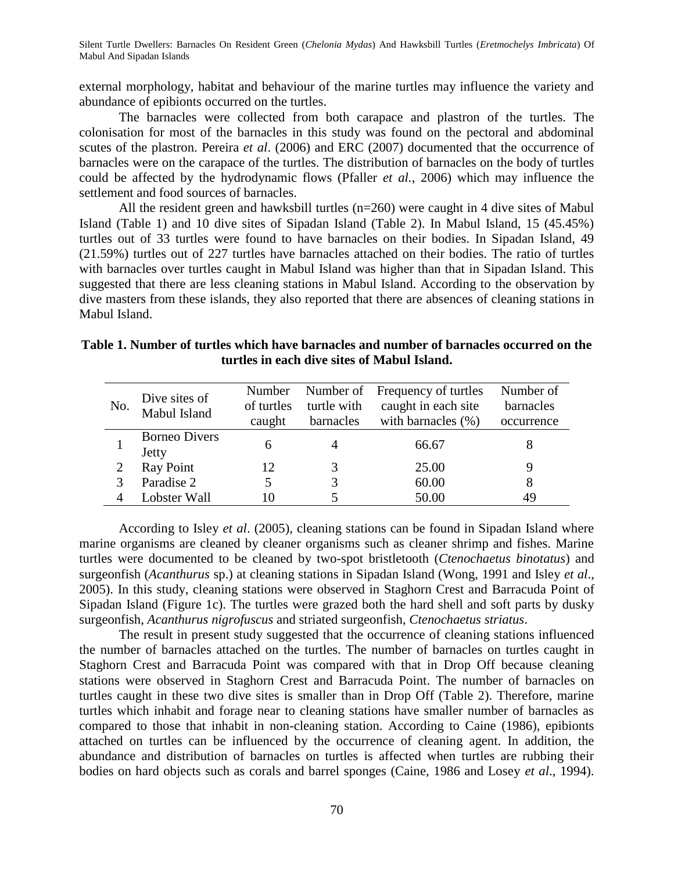Silent Turtle Dwellers: Barnacles On Resident Green (*Chelonia Mydas*) And Hawksbill Turtles (*Eretmochelys Imbricata*) Of Mabul And Sipadan Islands

external morphology, habitat and behaviour of the marine turtles may influence the variety and abundance of epibionts occurred on the turtles.

The barnacles were collected from both carapace and plastron of the turtles. The colonisation for most of the barnacles in this study was found on the pectoral and abdominal scutes of the plastron. Pereira *et al*. (2006) and ERC (2007) documented that the occurrence of barnacles were on the carapace of the turtles. The distribution of barnacles on the body of turtles could be affected by the hydrodynamic flows (Pfaller *et al.*, 2006) which may influence the settlement and food sources of barnacles.

All the resident green and hawksbill turtles (n=260) were caught in 4 dive sites of Mabul Island (Table 1) and 10 dive sites of Sipadan Island (Table 2). In Mabul Island, 15 (45.45%) turtles out of 33 turtles were found to have barnacles on their bodies. In Sipadan Island, 49 (21.59%) turtles out of 227 turtles have barnacles attached on their bodies. The ratio of turtles with barnacles over turtles caught in Mabul Island was higher than that in Sipadan Island. This suggested that there are less cleaning stations in Mabul Island. According to the observation by dive masters from these islands, they also reported that there are absences of cleaning stations in Mabul Island.

| Table 1. Number of turtles which have barnacles and number of barnacles occurred on the |  |
|-----------------------------------------------------------------------------------------|--|
| turtles in each dive sites of Mabul Island.                                             |  |

| No. | Dive sites of<br>Mabul Island | Number<br>of turtles<br>caught | Number of<br>turtle with<br>barnacles | Frequency of turtles<br>caught in each site<br>with barnacles (%) | Number of<br>barnacles<br>occurrence |
|-----|-------------------------------|--------------------------------|---------------------------------------|-------------------------------------------------------------------|--------------------------------------|
|     | <b>Borneo Divers</b><br>Jetty | 6                              |                                       | 66.67                                                             |                                      |
|     | <b>Ray Point</b>              | 12                             |                                       | 25.00                                                             |                                      |
|     | Paradise 2                    | 5                              |                                       | 60.00                                                             | 8                                    |
|     | Lobster Wall                  | 10                             |                                       | 50.00                                                             | 49                                   |

According to Isley *et al*. (2005), cleaning stations can be found in Sipadan Island where marine organisms are cleaned by cleaner organisms such as cleaner shrimp and fishes. Marine turtles were documented to be cleaned by two-spot bristletooth (*Ctenochaetus binotatus*) and surgeonfish (*Acanthurus* sp.) at cleaning stations in Sipadan Island (Wong, 1991 and Isley *et al*., 2005). In this study, cleaning stations were observed in Staghorn Crest and Barracuda Point of Sipadan Island (Figure 1c). The turtles were grazed both the hard shell and soft parts by dusky surgeonfish, *Acanthurus nigrofuscus* and striated surgeonfish, *Ctenochaetus striatus*.

The result in present study suggested that the occurrence of cleaning stations influenced the number of barnacles attached on the turtles. The number of barnacles on turtles caught in Staghorn Crest and Barracuda Point was compared with that in Drop Off because cleaning stations were observed in Staghorn Crest and Barracuda Point. The number of barnacles on turtles caught in these two dive sites is smaller than in Drop Off (Table 2). Therefore, marine turtles which inhabit and forage near to cleaning stations have smaller number of barnacles as compared to those that inhabit in non-cleaning station. According to Caine (1986), epibionts attached on turtles can be influenced by the occurrence of cleaning agent. In addition, the abundance and distribution of barnacles on turtles is affected when turtles are rubbing their bodies on hard objects such as corals and barrel sponges (Caine, 1986 and Losey *et al*., 1994).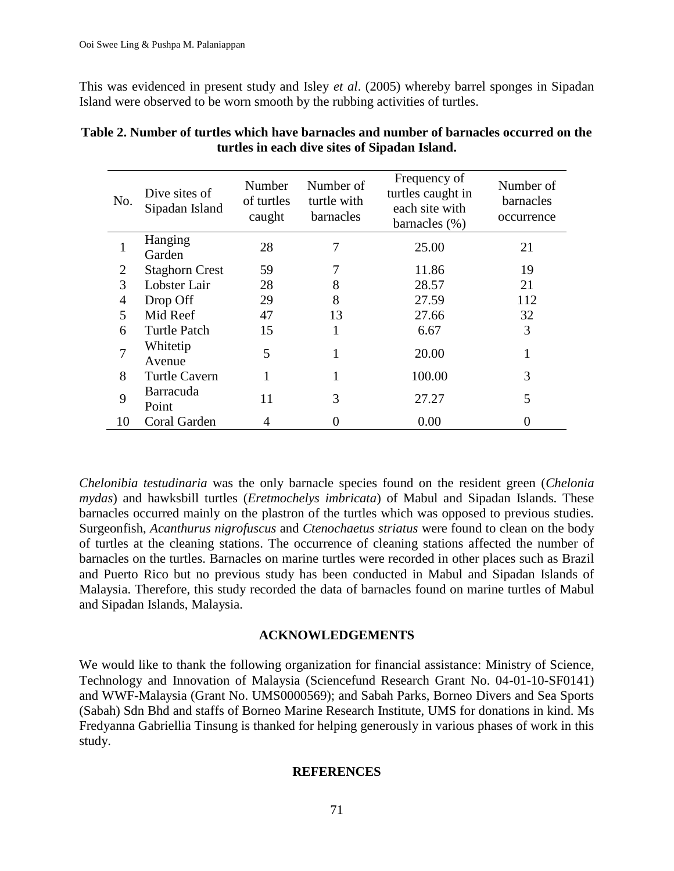This was evidenced in present study and Isley *et al*. (2005) whereby barrel sponges in Sipadan Island were observed to be worn smooth by the rubbing activities of turtles.

| No.            | Dive sites of<br>Sipadan Island | Number<br>of turtles<br>caught | Number of<br>turtle with<br>barnacles | Frequency of<br>turtles caught in<br>each site with<br>barnacles $(\%)$ | Number of<br>barnacles<br>occurrence |
|----------------|---------------------------------|--------------------------------|---------------------------------------|-------------------------------------------------------------------------|--------------------------------------|
|                | Hanging<br>Garden               | 28                             |                                       | 25.00                                                                   | 21                                   |
| $\overline{2}$ | <b>Staghorn Crest</b>           | 59                             |                                       | 11.86                                                                   | 19                                   |
| 3              | Lobster Lair                    | 28                             | 8                                     | 28.57                                                                   | 21                                   |
| 4              | Drop Off                        | 29                             | 8                                     | 27.59                                                                   | 112                                  |
| 5              | Mid Reef                        | 47                             | 13                                    | 27.66                                                                   | 32                                   |
| 6              | <b>Turtle Patch</b>             | 15                             | 1                                     | 6.67                                                                    | 3                                    |
| 7              | Whitetip<br>Avenue              | 5                              |                                       | 20.00                                                                   |                                      |
| 8              | <b>Turtle Cavern</b>            | 1                              |                                       | 100.00                                                                  | 3                                    |
| 9              | Barracuda<br>Point              | 11                             | 3                                     | 27.27                                                                   | 5                                    |
| 10             | Coral Garden                    | 4                              |                                       | 0.00                                                                    |                                      |

# **Table 2. Number of turtles which have barnacles and number of barnacles occurred on the turtles in each dive sites of Sipadan Island.**

*Chelonibia testudinaria* was the only barnacle species found on the resident green (*Chelonia mydas*) and hawksbill turtles (*Eretmochelys imbricata*) of Mabul and Sipadan Islands. These barnacles occurred mainly on the plastron of the turtles which was opposed to previous studies. Surgeonfish, *Acanthurus nigrofuscus* and *Ctenochaetus striatus* were found to clean on the body of turtles at the cleaning stations. The occurrence of cleaning stations affected the number of barnacles on the turtles. Barnacles on marine turtles were recorded in other places such as Brazil and Puerto Rico but no previous study has been conducted in Mabul and Sipadan Islands of Malaysia. Therefore, this study recorded the data of barnacles found on marine turtles of Mabul and Sipadan Islands, Malaysia.

## **ACKNOWLEDGEMENTS**

We would like to thank the following organization for financial assistance: Ministry of Science, Technology and Innovation of Malaysia (Sciencefund Research Grant No. 04-01-10-SF0141) and WWF-Malaysia (Grant No. UMS0000569); and Sabah Parks, Borneo Divers and Sea Sports (Sabah) Sdn Bhd and staffs of Borneo Marine Research Institute, UMS for donations in kind. Ms Fredyanna Gabriellia Tinsung is thanked for helping generously in various phases of work in this study.

## **REFERENCES**